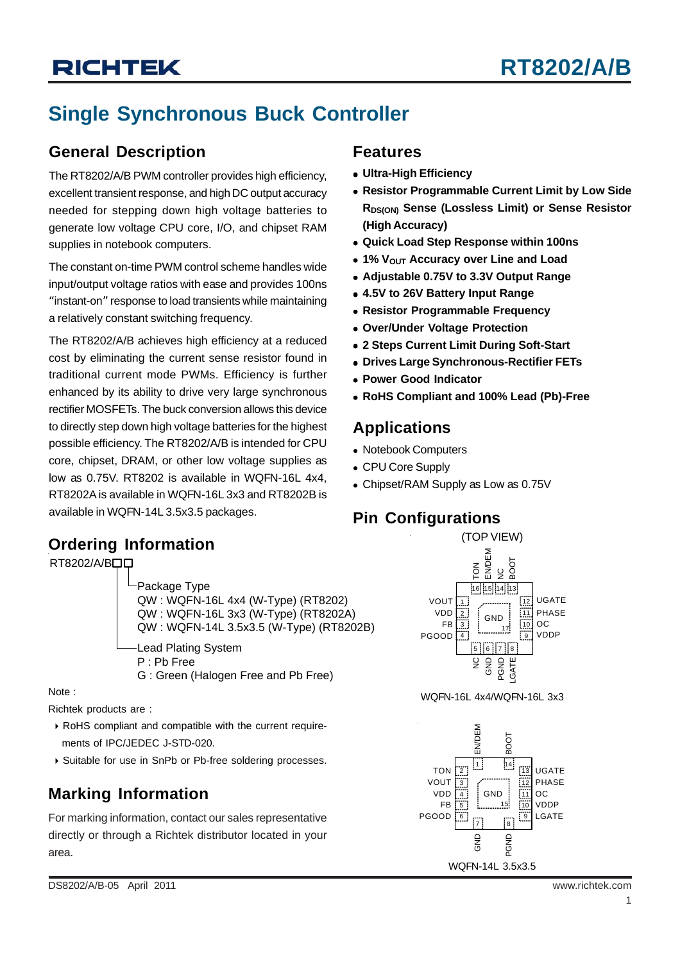## **Single Synchronous Buck Controller**

### **General Description**

The RT8202/A/B PWM controller provides high efficiency, excellent transient response, and high DC output accuracy needed for stepping down high voltage batteries to generate low voltage CPU core, I/O, and chipset RAM supplies in notebook computers.

The constant on-time PWM control scheme handles wide input/output voltage ratios with ease and provides 100ns "instant-on" response to load transients while maintaining a relatively constant switching frequency.

The RT8202/A/B achieves high efficiency at a reduced cost by eliminating the current sense resistor found in traditional current mode PWMs. Efficiency is further enhanced by its ability to drive very large synchronous rectifier MOSFETs. The buck conversion allows this device to directly step down high voltage batteries for the highest possible efficiency. The RT8202/A/B is intended for CPU core, chipset, DRAM, or other low voltage supplies as low as 0.75V. RT8202 is available in WQFN-16L 4x4, RT8202A is available in WQFN-16L 3x3 and RT8202B is available in WQFN-14L 3.5x3.5 packages.

### **Features**

- **Ultra-High Efficiency**
- **Resistor Programmable Current Limit by Low Side RDS(ON) Sense (Lossless Limit) or Sense Resistor (High Accuracy)**
- <sup>z</sup> **Quick Load Step Response within 100ns**
- **1% VOUT Accuracy over Line and Load**
- <sup>z</sup> **Adjustable 0.75V to 3.3V Output Range**
- <sup>z</sup> **4.5V to 26V Battery Input Range**
- **Resistor Programmable Frequency**
- <sup>z</sup> **Over/Under Voltage Protection**
- <sup>z</sup> **2 Steps Current Limit During Soft-Start**
- **Drives Large Synchronous-Rectifier FETs**
- <sup>z</sup> **Power Good Indicator**
- <sup>z</sup> **RoHS Compliant and 100% Lead (Pb)-Free**

### **Applications**

- Notebook Computers
- CPU Core Supply
- Chipset/RAM Supply as Low as 0.75V

### **Pin Configurations**

### **Ordering Information**

RT8202/A/BOO Package Type QW : WQFN-16L 4x4 (W-Type) (RT8202) QW : WQFN-16L 3x3 (W-Type) (RT8202A) QW : WQFN-14L 3.5x3.5 (W-Type) (RT8202B) Lead Plating System P : Pb Free G : Green (Halogen Free and Pb Free)

Richtek products are :

- ` RoHS compliant and compatible with the current require ments of IPC/JEDEC J-STD-020.
- ▶ Suitable for use in SnPb or Pb-free soldering processes.

### **Marking Information**

For marking information, contact our sales representative directly or through a Richtek distributor located in your area.



Note : where the contract of the contract of the contract of the contract of the contract of the contract of the contract of the contract of the contract of the contract of the contract of the contract of the contract of t

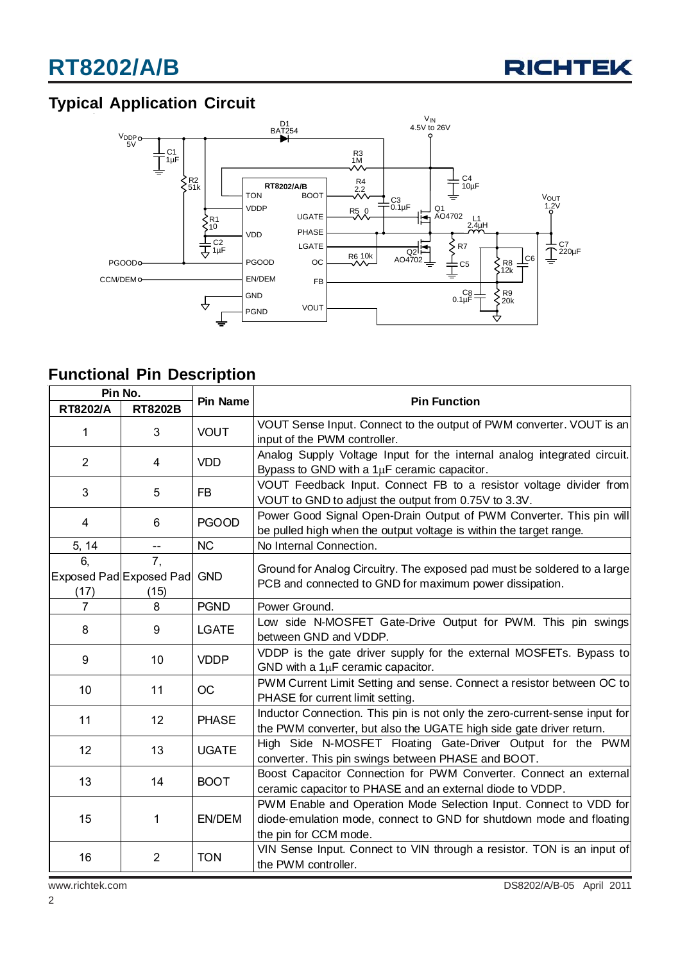### **Typical Application Circuit**



### **Functional Pin Description**

| Pin No.        |                                       |                 |                                                                                                                                                                   |  |  |
|----------------|---------------------------------------|-----------------|-------------------------------------------------------------------------------------------------------------------------------------------------------------------|--|--|
| RT8202/A       | <b>RT8202B</b>                        | <b>Pin Name</b> | <b>Pin Function</b>                                                                                                                                               |  |  |
| 1              | 3                                     | <b>VOUT</b>     | VOUT Sense Input. Connect to the output of PWM converter. VOUT is an<br>input of the PWM controller.                                                              |  |  |
| $\overline{2}$ | 4                                     | <b>VDD</b>      | Analog Supply Voltage Input for the internal analog integrated circuit.<br>Bypass to GND with a $1\mu$ F ceramic capacitor.                                       |  |  |
| 3              | 5                                     | <b>FB</b>       | VOUT Feedback Input. Connect FB to a resistor voltage divider from<br>VOUT to GND to adjust the output from 0.75V to 3.3V.                                        |  |  |
| 4              | 6                                     | <b>PGOOD</b>    | Power Good Signal Open-Drain Output of PWM Converter. This pin will<br>be pulled high when the output voltage is within the target range.                         |  |  |
| 5, 14          | $\overline{a}$                        | <b>NC</b>       | No Internal Connection.                                                                                                                                           |  |  |
| 6,<br>(17)     | 7.<br>Exposed Pad Exposed Pad<br>(15) | <b>GND</b>      | Ground for Analog Circuitry. The exposed pad must be soldered to a large<br>PCB and connected to GND for maximum power dissipation.                               |  |  |
| 7              | 8                                     | <b>PGND</b>     | Power Ground.                                                                                                                                                     |  |  |
| 8              | 9                                     | <b>LGATE</b>    | Low side N-MOSFET Gate-Drive Output for PWM. This pin swings<br>between GND and VDDP.                                                                             |  |  |
| 9              | 10                                    | <b>VDDP</b>     | VDDP is the gate driver supply for the external MOSFETs. Bypass to<br>GND with a $1\mu$ F ceramic capacitor.                                                      |  |  |
| 10             | 11                                    | OC              | PWM Current Limit Setting and sense. Connect a resistor between OC to<br>PHASE for current limit setting.                                                         |  |  |
| 11             | 12                                    | <b>PHASE</b>    | Inductor Connection. This pin is not only the zero-current-sense input for<br>the PWM converter, but also the UGATE high side gate driver return.                 |  |  |
| 12             | 13                                    | <b>UGATE</b>    | High Side N-MOSFET Floating Gate-Driver Output for the PWM<br>converter. This pin swings between PHASE and BOOT.                                                  |  |  |
| 13             | 14                                    | <b>BOOT</b>     | Boost Capacitor Connection for PWM Converter. Connect an external<br>ceramic capacitor to PHASE and an external diode to VDDP.                                    |  |  |
| 15             | 1                                     | EN/DEM          | PWM Enable and Operation Mode Selection Input. Connect to VDD for<br>diode-emulation mode, connect to GND for shutdown mode and floating<br>the pin for CCM mode. |  |  |
| 16             | $\overline{2}$                        | <b>TON</b>      | VIN Sense Input. Connect to VIN through a resistor. TON is an input of<br>the PWM controller.                                                                     |  |  |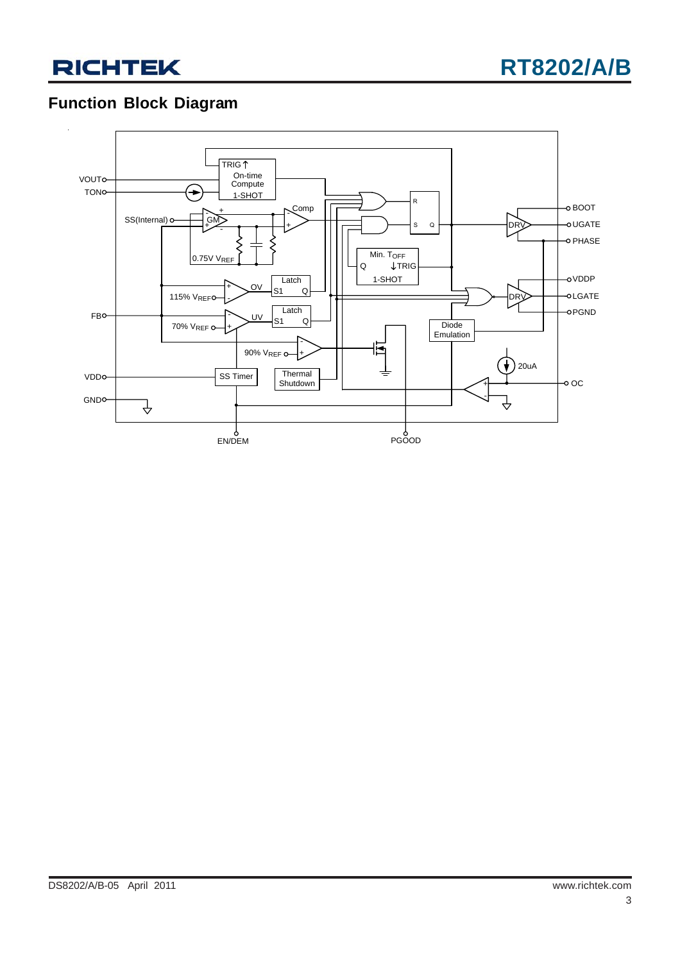



### **Function Block Diagram**

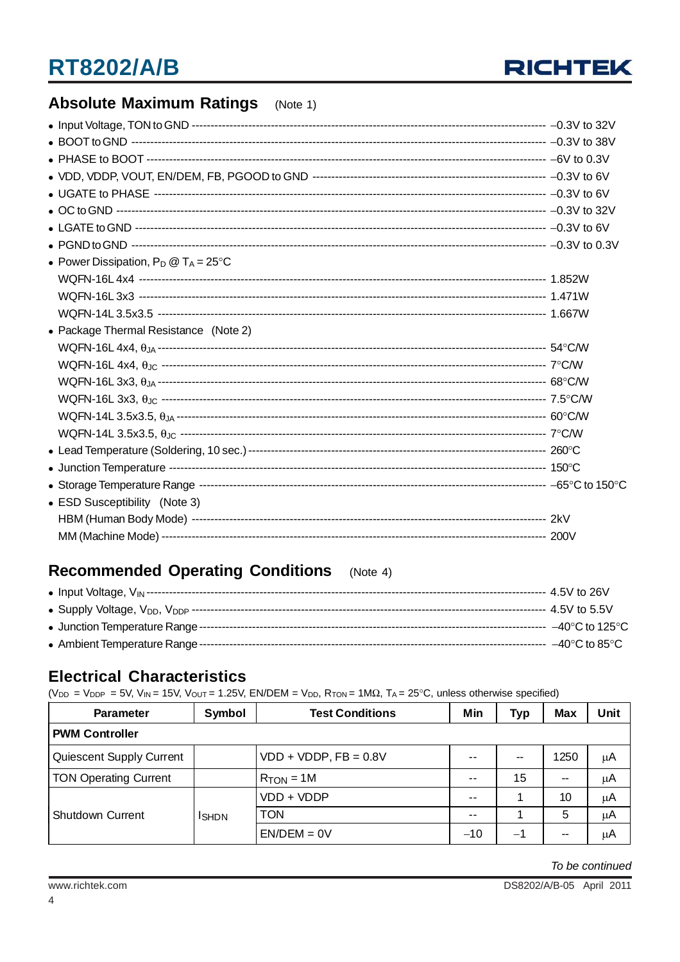

### **Absolute Maximum Ratings** (Note 1)

| • Power Dissipation, $P_D @ T_A = 25^{\circ}C$ |  |
|------------------------------------------------|--|
|                                                |  |
|                                                |  |
|                                                |  |
| • Package Thermal Resistance (Note 2)          |  |
|                                                |  |
|                                                |  |
|                                                |  |
|                                                |  |
|                                                |  |
|                                                |  |
|                                                |  |
|                                                |  |
|                                                |  |
| • ESD Susceptibility (Note 3)                  |  |
|                                                |  |
|                                                |  |

#### **Recommended Operating Conditions**  $(Note 4)$

### **Electrical Characteristics**

 $(V_{DD} = V_{DDP} = 5V$ ,  $V_{IN} = 15V$ ,  $V_{OUT} = 1.25V$ ,  $EN/DEM = V_{DD}$ ,  $R_{TON} = 1M\Omega$ ,  $T_A = 25^{\circ}C$ , unless otherwise specified)

| <b>Parameter</b>             | Symbol        | <b>Test Conditions</b>  | Min   | <b>Typ</b> | <b>Max</b> | Unit |
|------------------------------|---------------|-------------------------|-------|------------|------------|------|
| <b>PWM Controller</b>        |               |                         |       |            |            |      |
| Quiescent Supply Current     |               | $VDD + VDDP, FB = 0.8V$ | $- -$ | $\sim$     | 1250       | μA   |
| <b>TON Operating Current</b> |               | $R_{TON} = 1M$          | --    | 15         |            | μA   |
|                              |               | VDD + VDDP              | --    |            | 10         | μA   |
| <b>Shutdown Current</b>      | <b>I</b> SHDN | <b>TON</b>              | --    |            | 5          | μA   |
|                              |               | $EN/DEM = 0V$           | $-10$ | $-1$       | --         | μA   |

To be continued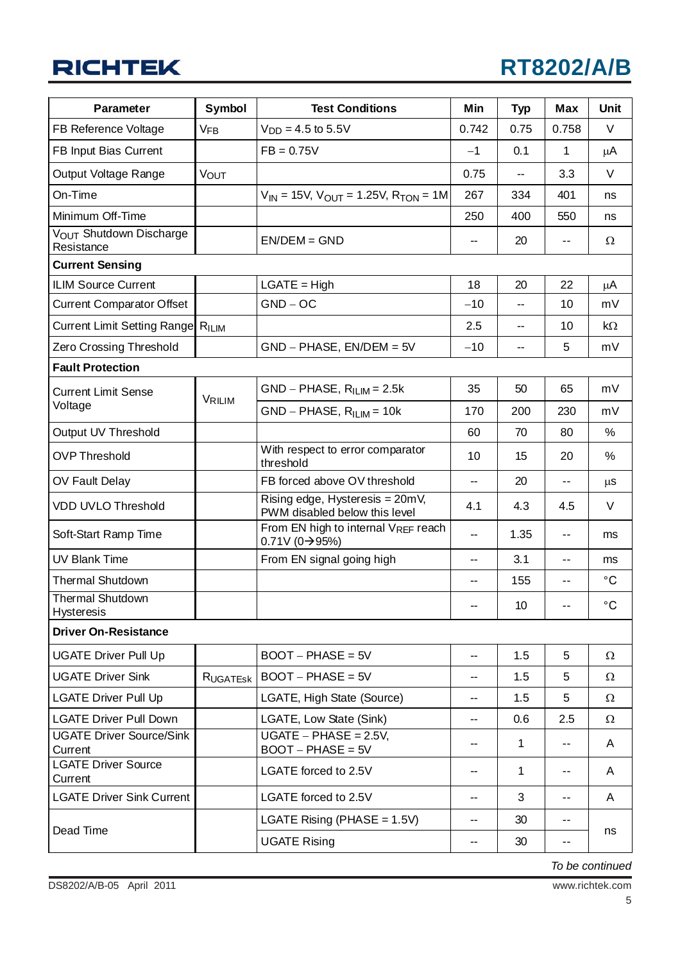| <b>Parameter</b>                             | Symbol                | <b>Test Conditions</b>                                           | Min            | <b>Typ</b>               | <b>Max</b>    | Unit            |
|----------------------------------------------|-----------------------|------------------------------------------------------------------|----------------|--------------------------|---------------|-----------------|
| FB Reference Voltage                         | <b>V<sub>FB</sub></b> | $V_{DD} = 4.5$ to 5.5V                                           | 0.742          | 0.75                     | 0.758         | V               |
| FB Input Bias Current                        |                       | $FB = 0.75V$                                                     | $-1$           | 0.1                      | 1             | μA              |
| Output Voltage Range                         | <b>VOUT</b>           |                                                                  | 0.75           | --                       | 3.3           | V               |
| On-Time                                      |                       | $V_{IN}$ = 15V, $V_{OUT}$ = 1.25V, $R_{TON}$ = 1M                | 267            | 334                      | 401           | ns              |
| Minimum Off-Time                             |                       |                                                                  | 250            | 400                      | 550           | ns              |
| VOUT Shutdown Discharge<br>Resistance        |                       | $EN/DEM = GND$                                                   |                | 20                       | $\sim$ $-$    | Ω               |
| <b>Current Sensing</b>                       |                       |                                                                  |                |                          |               |                 |
| <b>ILIM Source Current</b>                   |                       | $LGATE = High$                                                   | 18             | 20                       | 22            | μA              |
| <b>Current Comparator Offset</b>             |                       | $GND - OC$                                                       | $-10$          | $\mathbf{u}$             | 10            | mV              |
| Current Limit Setting Range RILIM            |                       |                                                                  | 2.5            | --                       | 10            | kΩ              |
| Zero Crossing Threshold                      |                       | $GND - PHASE, EN/DEM = 5V$                                       | $-10$          | $\overline{\phantom{a}}$ | 5             | mV              |
| <b>Fault Protection</b>                      |                       |                                                                  |                |                          |               |                 |
| <b>Current Limit Sense</b>                   | VRILIM                | $GND - PHASE$ , $RILIM = 2.5k$                                   | 35             | 50                       | 65            | mV              |
| Voltage                                      |                       | $GND - PHASE, RILIM = 10k$                                       | 170            | 200                      | 230           | mV              |
| Output UV Threshold                          |                       |                                                                  | 60             | 70                       | 80            | $\%$            |
| <b>OVP Threshold</b>                         |                       | With respect to error comparator<br>threshold                    | 10             | 15                       | 20            | %               |
| OV Fault Delay                               |                       | FB forced above OV threshold                                     | --             | 20                       | $\sim$ $-$    | μS              |
| <b>VDD UVLO Threshold</b>                    |                       | Rising edge, Hysteresis = 20mV,<br>PWM disabled below this level | 4.1            | 4.3                      | 4.5           | V               |
| Soft-Start Ramp Time                         |                       | From EN high to internal VREF reach<br>$0.71V(0)$ + 95%)         | --             | 1.35                     | $ -$          | ms              |
| <b>UV Blank Time</b>                         |                       | From EN signal going high                                        | --             | 3.1                      | ۰.            | ms              |
| <b>Thermal Shutdown</b>                      |                       |                                                                  | --             | 155                      | $\sim$ $\sim$ | $^{\circ}C$     |
| <b>Thermal Shutdown</b><br><b>Hysteresis</b> |                       |                                                                  |                | 10                       |               | $\rm ^{\circ}C$ |
| <b>Driver On-Resistance</b>                  |                       |                                                                  |                |                          |               |                 |
| <b>UGATE Driver Pull Up</b>                  |                       | $BOOT - PHASE = 5V$                                              | --             | 1.5                      | 5             | Ω               |
| <b>UGATE Driver Sink</b>                     | <b>RUGATESK</b>       | $BOOT - PHASE = 5V$                                              |                | 1.5                      | 5             | $\Omega$        |
| <b>LGATE Driver Pull Up</b>                  |                       | LGATE, High State (Source)                                       | --             | 1.5                      | 5             | $\Omega$        |
| <b>LGATE Driver Pull Down</b>                |                       | LGATE, Low State (Sink)                                          | --             | 0.6                      | 2.5           | $\Omega$        |
| <b>UGATE Driver Source/Sink</b><br>Current   |                       | $UGATE - PHASE = 2.5V$ ,<br>$BOOT - PHASE = 5V$                  | --             | 1                        | $- -$         | A               |
| <b>LGATE Driver Source</b><br>Current        |                       | LGATE forced to 2.5V                                             | --             | 1                        | --            | A               |
| <b>LGATE Driver Sink Current</b>             |                       | LGATE forced to 2.5V                                             | $\overline{a}$ | 3                        | $\sim$ $\sim$ | A               |
| Dead Time                                    |                       | LGATE Rising (PHASE = $1.5V$ )                                   | --             | 30                       | $- -$         |                 |
|                                              |                       | <b>UGATE Rising</b>                                              | --             | 30                       | $\sim$ $-$    | ns              |

*To be continued*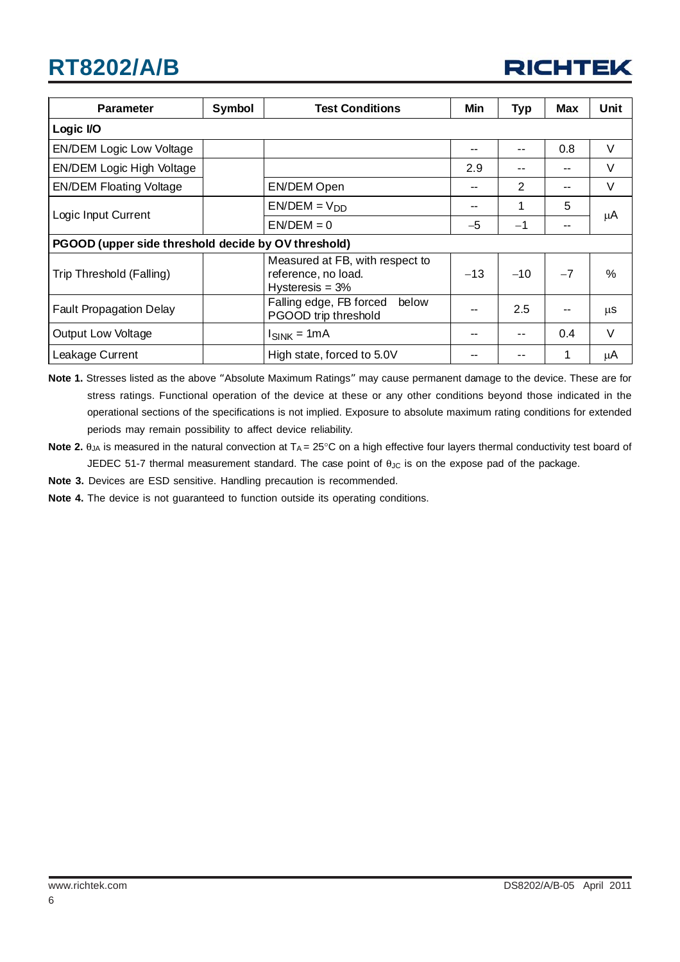| <b>Parameter</b>                                    | Symbol | <b>Test Conditions</b>                                                       | Min   | <b>Typ</b> | <b>Max</b> | Unit   |  |  |
|-----------------------------------------------------|--------|------------------------------------------------------------------------------|-------|------------|------------|--------|--|--|
| Logic I/O                                           |        |                                                                              |       |            |            |        |  |  |
| <b>EN/DEM Logic Low Voltage</b>                     |        |                                                                              | --    | --         | 0.8        | $\vee$ |  |  |
| EN/DEM Logic High Voltage                           |        |                                                                              | 2.9   | --         |            | V      |  |  |
| <b>EN/DEM Floating Voltage</b>                      |        | EN/DEM Open                                                                  | --    | 2          | --         | $\vee$ |  |  |
| Logic Input Current                                 |        | $EN/DEM = VDD$                                                               | --    |            | 5          | μA     |  |  |
|                                                     |        | $EN/DEM = 0$                                                                 | $-5$  | $-1$       |            |        |  |  |
| PGOOD (upper side threshold decide by OV threshold) |        |                                                                              |       |            |            |        |  |  |
| Trip Threshold (Falling)                            |        | Measured at FB, with respect to<br>reference, no load.<br>Hysteresis $= 3\%$ | $-13$ | $-10$      | $-7$       | $\%$   |  |  |
| <b>Fault Propagation Delay</b>                      |        | Falling edge, FB forced<br>below<br>PGOOD trip threshold                     | --    | 2.5        |            | μS     |  |  |
| <b>Output Low Voltage</b>                           |        | $I_{SINK} = 1mA$                                                             | --    | --         | 0.4        | $\vee$ |  |  |
| Leakage Current                                     |        | High state, forced to 5.0V                                                   | --    | --         | 1          | μA     |  |  |

**Note 1.** Stresses listed as the above "Absolute Maximum Ratings" may cause permanent damage to the device. These are for stress ratings. Functional operation of the device at these or any other conditions beyond those indicated in the operational sections of the specifications is not implied. Exposure to absolute maximum rating conditions for extended periods may remain possibility to affect device reliability.

**Note 2.** θ<sub>JA</sub> is measured in the natural convection at T<sub>A</sub> = 25°C on a high effective four layers thermal conductivity test board of JEDEC 51-7 thermal measurement standard. The case point of  $\theta_{\text{JC}}$  is on the expose pad of the package.

**Note 3.** Devices are ESD sensitive. Handling precaution is recommended.

**Note 4.** The device is not guaranteed to function outside its operating conditions.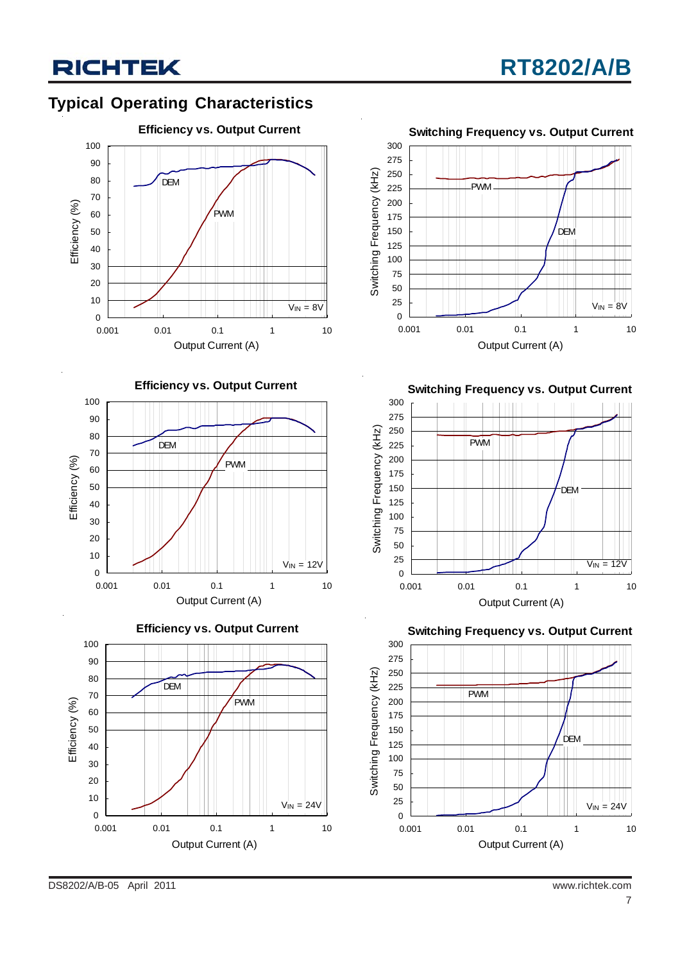### **Typical Operating Characteristics**



**Efficiency vs. Output Current**









**Switching Frequency vs. Output Current**



**Switching Frequency vs. Output Current**



DS8202/A/B-05 April 2011 www.richtek.com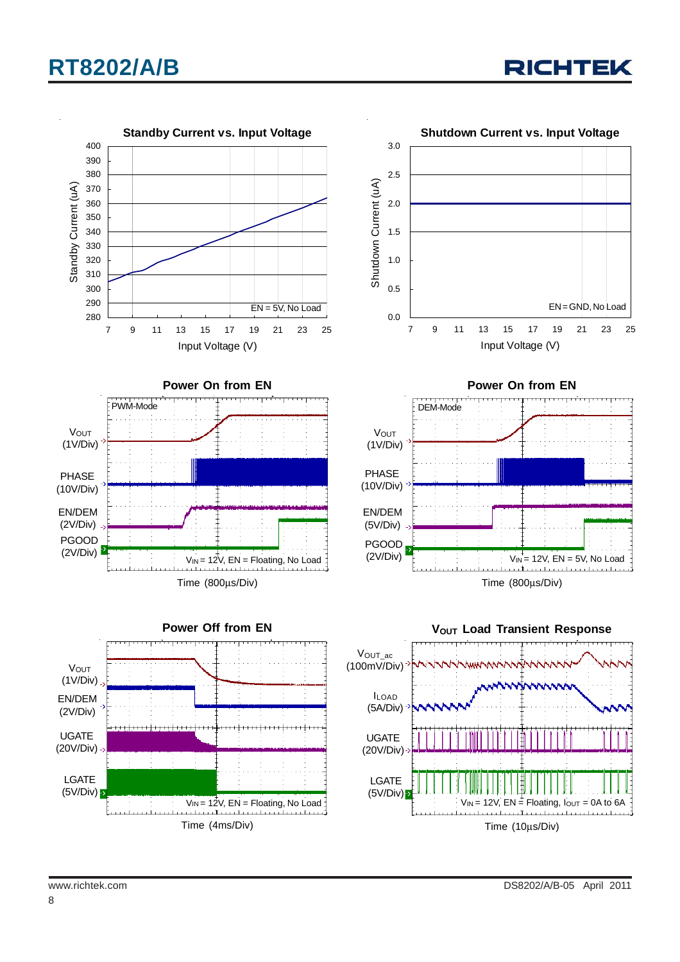

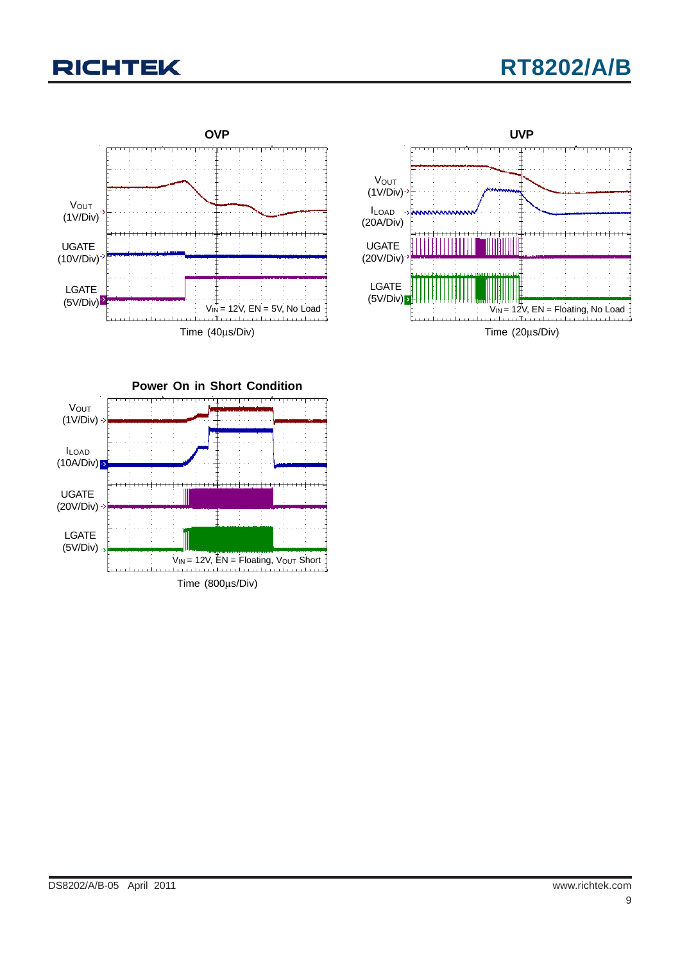## **RT8202/A/B**





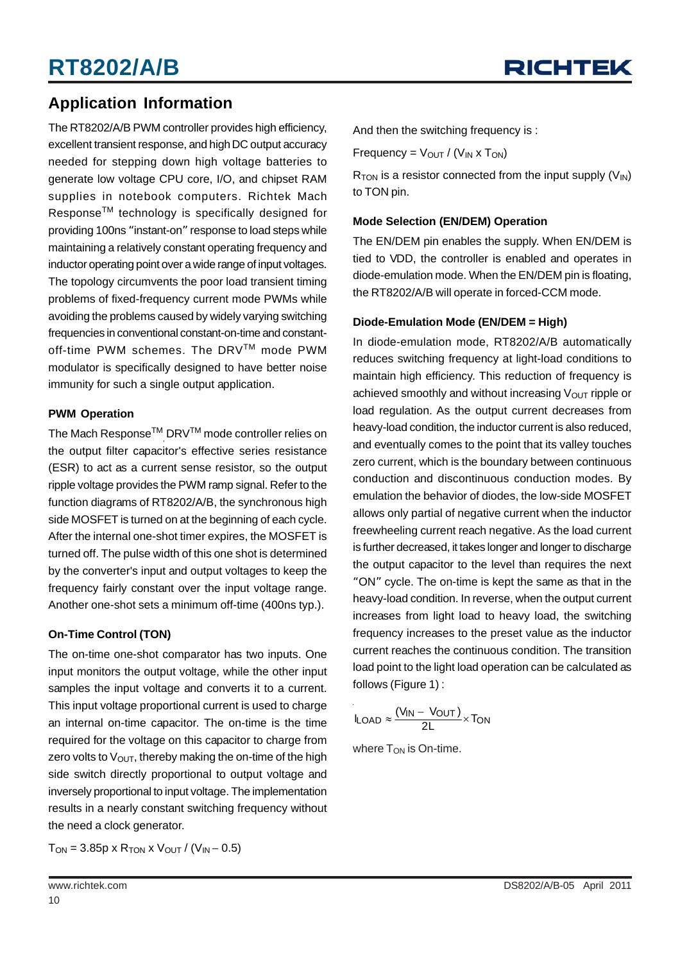### **Application Information**

The RT8202/A/B PWM controller provides high efficiency, excellent transient response, and high DC output accuracy needed for stepping down high voltage batteries to generate low voltage CPU core, I/O, and chipset RAM supplies in notebook computers. Richtek Mach ResponseTM technology is specifically designed for providing 100ns "instant-on" response to load steps while maintaining a relatively constant operating frequency and inductor operating point over a wide range of input voltages. The topology circumvents the poor load transient timing problems of fixed-frequency current mode PWMs while avoiding the problems caused by widely varying switching frequencies in conventional constant-on-time and constantoff-time PWM schemes. The DRVTM mode PWM modulator is specifically designed to have better noise immunity for such a single output application.

#### **PWM Operation**

The Mach Response $^{\text{\tiny{\textsf{TM}}}}$  DRV $^{\text{\tiny{\textsf{TM}}}}$  mode controller relies on the output filter capacitor's effective series resistance (ESR) to act as a current sense resistor, so the output ripple voltage provides the PWM ramp signal. Refer to the function diagrams of RT8202/A/B, the synchronous high side MOSFET is turned on at the beginning of each cycle. After the internal one-shot timer expires, the MOSFET is turned off. The pulse width of this one shot is determined by the converter's input and output voltages to keep the frequency fairly constant over the input voltage range. Another one-shot sets a minimum off-time (400ns typ.).

#### **On-Time Control (TON)**

The on-time one-shot comparator has two inputs. One input monitors the output voltage, while the other input samples the input voltage and converts it to a current. This input voltage proportional current is used to charge an internal on-time capacitor. The on-time is the time required for the voltage on this capacitor to charge from zero volts to  $V_{\text{OUT}}$ , thereby making the on-time of the high side switch directly proportional to output voltage and inversely proportional to input voltage. The implementation results in a nearly constant switching frequency without the need a clock generator.

 $T_{ON} = 3.85p \times R_{TON} \times V_{OUT} / (V_{IN} - 0.5)$ 

And then the switching frequency is :

Frequency =  $V_{OUT}$  / ( $V_{IN}$  x T<sub>ON</sub>)

 $R_{TON}$  is a resistor connected from the input supply  $(V_{IN})$ to TON pin.

#### **Mode Selection (EN/DEM) Operation**

The EN/DEM pin enables the supply. When EN/DEM is tied to VDD, the controller is enabled and operates in diode-emulation mode. When the EN/DEM pin is floating, the RT8202/A/B will operate in forced-CCM mode.

#### **Diode-Emulation Mode (EN/DEM = High)**

In diode-emulation mode, RT8202/A/B automatically reduces switching frequency at light-load conditions to maintain high efficiency. This reduction of frequency is achieved smoothly and without increasing  $V_{\text{OUT}}$  ripple or load regulation. As the output current decreases from heavy-load condition, the inductor current is also reduced, and eventually comes to the point that its valley touches zero current, which is the boundary between continuous conduction and discontinuous conduction modes. By emulation the behavior of diodes, the low-side MOSFET allows only partial of negative current when the inductor freewheeling current reach negative. As the load current is further decreased, it takes longer and longer to discharge the output capacitor to the level than requires the next "ON" cycle. The on-time is kept the same as that in the heavy-load condition. In reverse, when the output current increases from light load to heavy load, the switching frequency increases to the preset value as the inductor current reaches the continuous condition. The transition load point to the light load operation can be calculated as follows (Figure 1) :

$$
I_{LOAD} \approx \frac{(V_{IN} - V_{OUT})}{2L} \times T_{ON}
$$

where  $T_{ON}$  is On-time.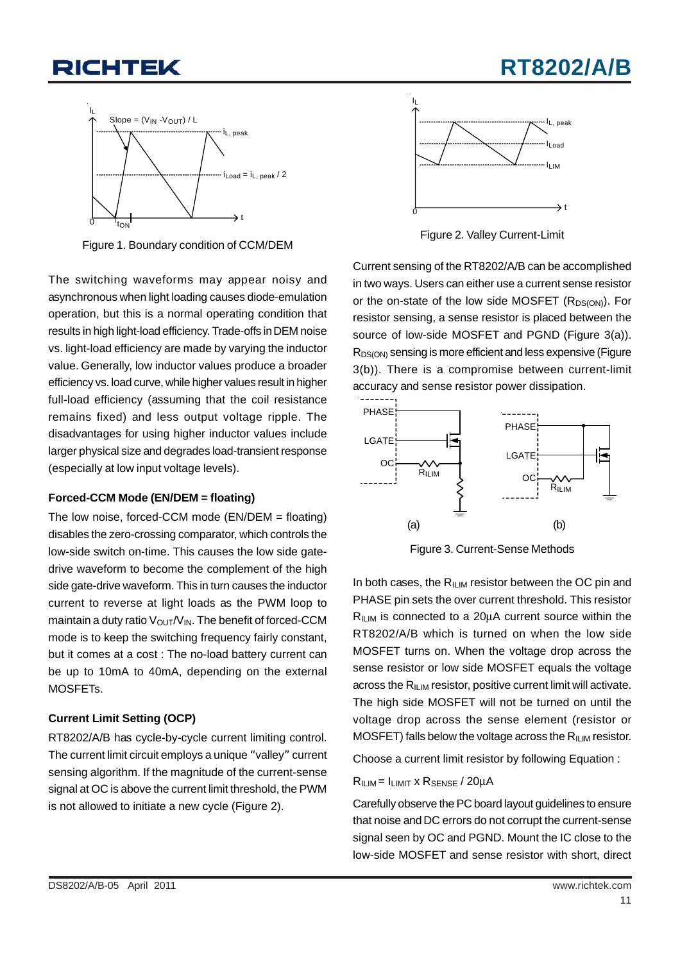## **RT8202/A/B**



Figure 1. Boundary condition of CCM/DEM Figure 2. Valley Current-Limit

The switching waveforms may appear noisy and asynchronous when light loading causes diode-emulation operation, but this is a normal operating condition that results in high light-load efficiency. Trade-offs in DEM noise vs. light-load efficiency are made by varying the inductor value. Generally, low inductor values produce a broader efficiency vs. load curve, while higher values result in higher full-load efficiency (assuming that the coil resistance remains fixed) and less output voltage ripple. The disadvantages for using higher inductor values include larger physical size and degrades load-transient response (especially at low input voltage levels).

#### **Forced-CCM Mode (EN/DEM = floating)**

The low noise, forced-CCM mode (EN/DEM = floating) disables the zero-crossing comparator, which controls the low-side switch on-time. This causes the low side gatedrive waveform to become the complement of the high side gate-drive waveform. This in turn causes the inductor current to reverse at light loads as the PWM loop to maintain a duty ratio  $V_{\text{OUT}}/V_{\text{IN}}$ . The benefit of forced-CCM mode is to keep the switching frequency fairly constant, but it comes at a cost : The no-load battery current can be up to 10mA to 40mA, depending on the external MOSFETs.

#### **Current Limit Setting (OCP)**

RT8202/A/B has cycle-by-cycle current limiting control. The current limit circuit employs a unique "valley" current sensing algorithm. If the magnitude of the current-sense signal at OC is above the current limit threshold, the PWM is not allowed to initiate a new cycle (Figure 2).



Current sensing of the RT8202/A/B can be accomplished in two ways. Users can either use a current sense resistor or the on-state of the low side MOSFET  $(R_{DS(ON)})$ . For resistor sensing, a sense resistor is placed between the source of low-side MOSFET and PGND (Figure 3(a)). R<sub>DS(ON)</sub> sensing is more efficient and less expensive (Figure 3(b)). There is a compromise between current-limit accuracy and sense resistor power dissipation.



Figure 3. Current-Sense Methods

In both cases, the  $R_{ILM}$  resistor between the OC pin and PHASE pin sets the over current threshold. This resistor  $R_{ILIM}$  is connected to a 20 $\mu$ A current source within the RT8202/A/B which is turned on when the low side MOSFET turns on. When the voltage drop across the sense resistor or low side MOSFET equals the voltage across the  $R_{ILM}$  resistor, positive current limit will activate. The high side MOSFET will not be turned on until the voltage drop across the sense element (resistor or MOSFET) falls below the voltage across the  $R_{ILM}$  resistor.

Choose a current limit resistor by following Equation :

#### $R_{I \cup M} = I_{LIMIT} \times R_{SENSE} / 20 \mu A$

Carefully observe the PC board layout guidelines to ensure that noise and DC errors do not corrupt the current-sense signal seen by OC and PGND. Mount the IC close to the low-side MOSFET and sense resistor with short, direct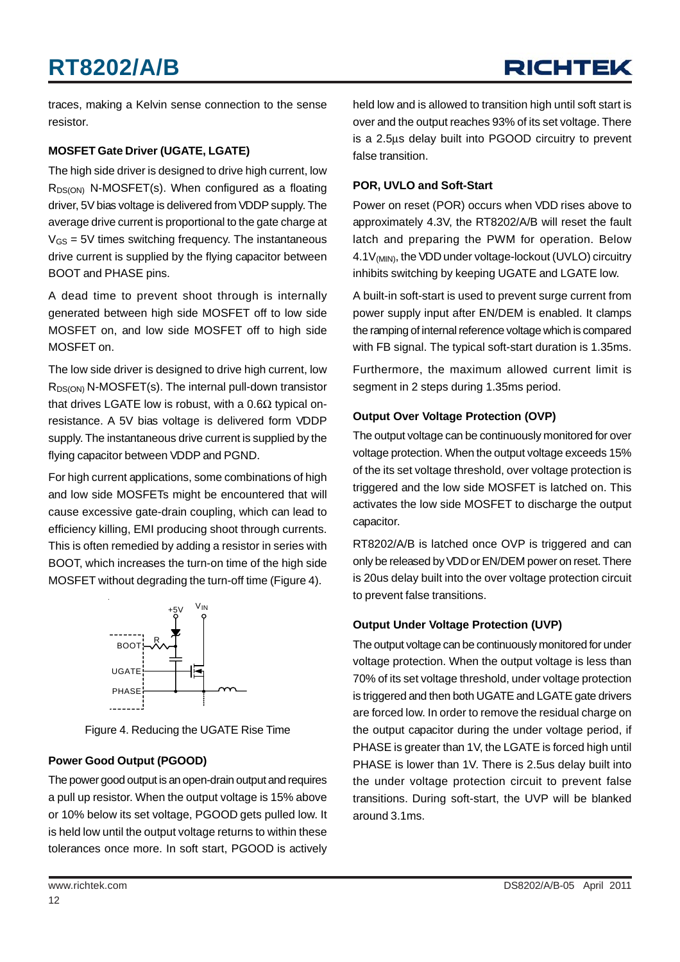## **RICHTEK**

traces, making a Kelvin sense connection to the sense resistor.

#### **MOSFET Gate Driver (UGATE, LGATE)**

The high side driver is designed to drive high current, low  $R_{DS(ON)}$  N-MOSFET(s). When configured as a floating driver, 5V bias voltage is delivered from VDDP supply. The average drive current is proportional to the gate charge at  $V_{GS}$  = 5V times switching frequency. The instantaneous drive current is supplied by the flying capacitor between BOOT and PHASE pins.

A dead time to prevent shoot through is internally generated between high side MOSFET off to low side MOSFET on, and low side MOSFET off to high side MOSFET on.

The low side driver is designed to drive high current, low  $R_{DS(ON)}$  N-MOSFET(s). The internal pull-down transistor that drives LGATE low is robust, with a  $0.6Ω$  typical onresistance. A 5V bias voltage is delivered form VDDP supply. The instantaneous drive current is supplied by the flying capacitor between VDDP and PGND.

For high current applications, some combinations of high and low side MOSFETs might be encountered that will cause excessive gate-drain coupling, which can lead to efficiency killing, EMI producing shoot through currents. This is often remedied by adding a resistor in series with BOOT, which increases the turn-on time of the high side MOSFET without degrading the turn-off time (Figure 4).



Figure 4. Reducing the UGATE Rise Time

### **Power Good Output (PGOOD)**

The power good output is an open-drain output and requires a pull up resistor. When the output voltage is 15% above or 10% below its set voltage, PGOOD gets pulled low. It is held low until the output voltage returns to within these tolerances once more. In soft start, PGOOD is actively

held low and is allowed to transition high until soft start is over and the output reaches 93% of its set voltage. There is a 2.5μs delay built into PGOOD circuitry to prevent false transition.

#### **POR, UVLO and Soft-Start**

Power on reset (POR) occurs when VDD rises above to approximately 4.3V, the RT8202/A/B will reset the fault latch and preparing the PWM for operation. Below 4.1V<sub>(MIN)</sub>, the VDD under voltage-lockout (UVLO) circuitry inhibits switching by keeping UGATE and LGATE low.

A built-in soft-start is used to prevent surge current from power supply input after EN/DEM is enabled. It clamps the ramping of internal reference voltage which is compared with FB signal. The typical soft-start duration is 1.35ms.

Furthermore, the maximum allowed current limit is segment in 2 steps during 1.35ms period.

#### **Output Over Voltage Protection (OVP)**

The output voltage can be continuously monitored for over voltage protection. When the output voltage exceeds 15% of the its set voltage threshold, over voltage protection is triggered and the low side MOSFET is latched on. This activates the low side MOSFET to discharge the output capacitor.

RT8202/A/B is latched once OVP is triggered and can only be released by VDD or EN/DEM power on reset. There is 20us delay built into the over voltage protection circuit to prevent false transitions.

### **Output Under Voltage Protection (UVP)**

The output voltage can be continuously monitored for under voltage protection. When the output voltage is less than 70% of its set voltage threshold, under voltage protection is triggered and then both UGATE and LGATE gate drivers are forced low. In order to remove the residual charge on the output capacitor during the under voltage period, if PHASE is greater than 1V, the LGATE is forced high until PHASE is lower than 1V. There is 2.5us delay built into the under voltage protection circuit to prevent false transitions. During soft-start, the UVP will be blanked around 3.1ms.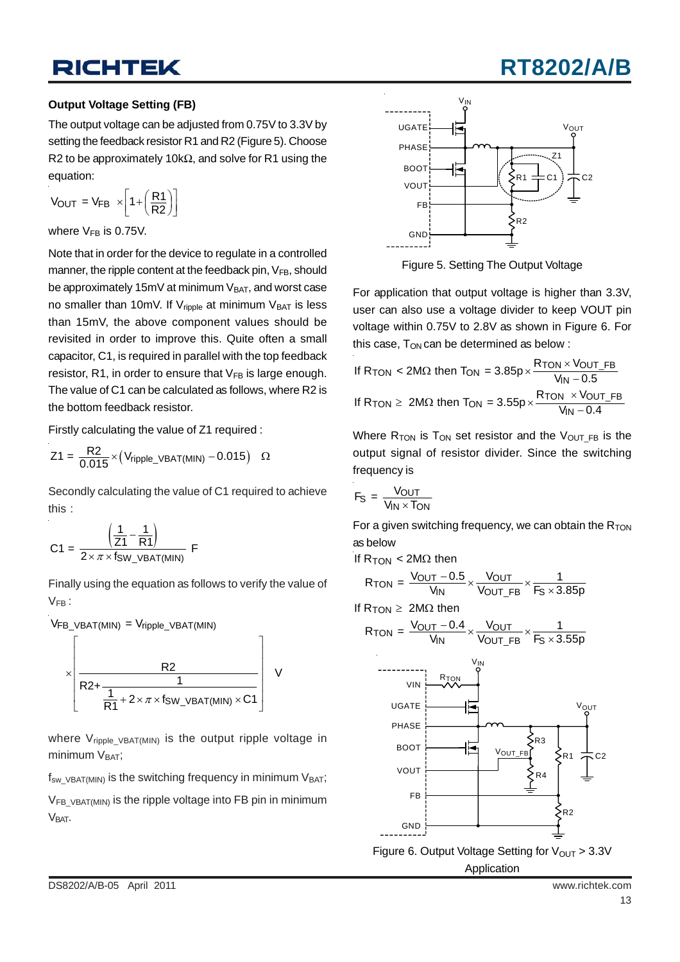## **RT8202/A**

#### **Output Voltage Setting (FB)**

The output voltage can be adjusted from 0.75V to 3.3V by setting the feedback resistor R1 and R2 (Figure 5). Choose R2 to be approximately 10kΩ, and solve for R1 using the equation:

$$
V_{\text{OUT}} = V_{\text{FB}} \times \left[1 + \left(\frac{R1}{R2}\right)\right]
$$

where  $V_{FB}$  is 0.75V.

Note that in order for the device to regulate in a controlled manner, the ripple content at the feedback pin, V<sub>FB</sub>, should be approximately 15mV at minimum  $V_{BAT}$ , and worst case no smaller than 10mV. If  $V_{\text{ripole}}$  at minimum  $V_{\text{BAT}}$  is less than 15mV, the above component values should be revisited in order to improve this. Quite often a small capacitor, C1, is required in parallel with the top feedback resistor, R1, in order to ensure that  $V_{FB}$  is large enough. The value of C1 can be calculated as follows, where R2 is the bottom feedback resistor.

Firstly calculating the value of Z1 required :

$$
Z1 = \frac{R2}{0.015} \times (V_{\text{ripple\_VBAT(MIN)} - 0.015) \quad \Omega
$$

Secondly calculating the value of C1 required to achieve this :

$$
C1 = \frac{\left(\frac{1}{Z1} - \frac{1}{R1}\right)}{2 \times \pi \times f_{SW\_VBAT(MIN)}} F
$$

Finally using the equation as follows to verify the value of  $V_{FB}$ :

VFB\_VBAT(MIN) = Vripple\_VBAT(MIN)  
\n
$$
\times \left[ \frac{R2}{R2 + \frac{1}{\frac{1}{R1} + 2 \times \pi \times f_{SW_VVBAT(MIN)} \times C1}} \right]
$$
 V

where  $V_{\text{ripole VBAT(MIN)}}$  is the output ripple voltage in minimum  $V<sub>BAT</sub>$ ;

 $f_{sw\text{ }VBAT(MIN)}$  is the switching frequency in minimum  $V_{BAT}$ ;

 $V_{FB}$  vBAT(MIN) is the ripple voltage into FB pin in minimum V<sub>BAT</sub>.



Figure 5. Setting The Output Voltage

For application that output voltage is higher than 3.3V, user can also use a voltage divider to keep VOUT pin voltage within 0.75V to 2.8V as shown in Figure 6. For this case,  $T_{ON}$  can be determined as below :

If R<sub>TON</sub> < 2M
$$
\Omega
$$
 then  $T_{ON} = 3.85p \times \frac{R_{TON} \times V_{OUT\_FB}}{V_{IN} - 0.5}$   
If R<sub>TON</sub>  $\geq 2M\Omega$  then  $T_{ON} = 3.55p \times \frac{R_{TON} \times V_{OUT\_FB}}{V_{IN} - 0.4}$ 

Where  $R_{TON}$  is  $T_{ON}$  set resistor and the  $V_{OUT}$  FB is the output signal of resistor divider. Since the switching frequency is

$$
F_{S} = \frac{V_{OUT}}{V_{IN} \times T_{ON}}
$$

For a given switching frequency, we can obtain the  $R_{TON}$ as below

If  $R_{\text{TON}} < 2M\Omega$  then

$$
R_{TON} = \frac{V_{OUT} - 0.5}{V_{IN}} \times \frac{V_{OUT}}{V_{OUT\_FB}} \times \frac{1}{F_S \times 3.85p}
$$

If  $R_{TON} \geq 2M\Omega$  then

$$
R_{TON} = \frac{V_{OUT} - 0.4}{V_{IN}} \times \frac{V_{OUT}}{V_{OUT\_FB}} \times \frac{1}{F_S \times 3.55p}
$$



Application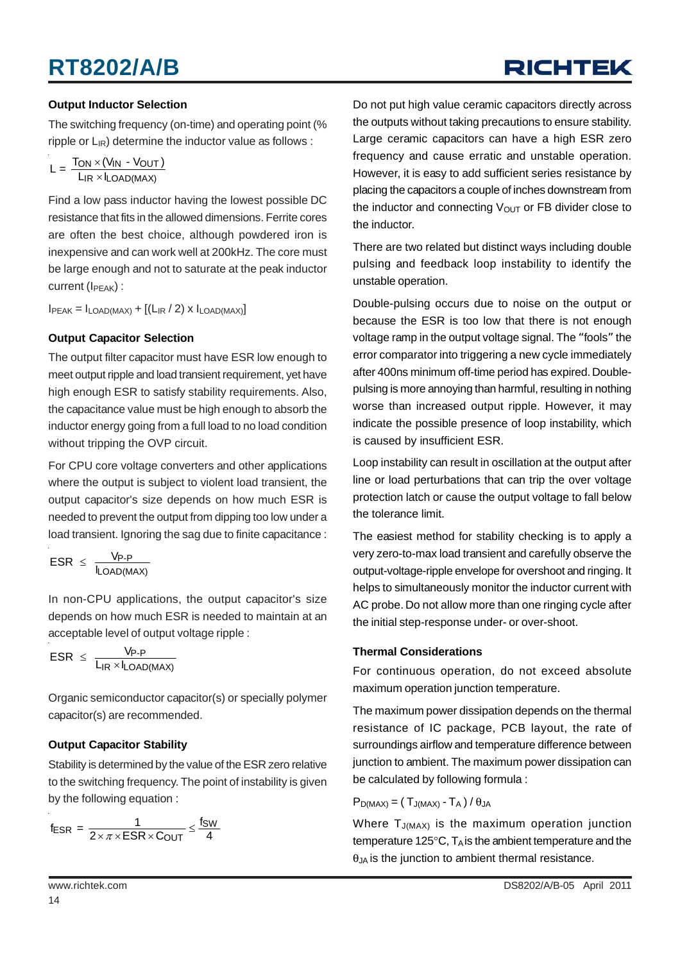# **RICHTEK**

#### **Output Inductor Selection**

The switching frequency (on-time) and operating point (% ripple or  $L_{IR}$ ) determine the inductor value as follows :

$$
L = \frac{T_{ON} \times (V_{IN} - V_{OUT})}{L_{IR} \times I_{LOAD(MAX)}}
$$

Find a low pass inductor having the lowest possible DC resistance that fits in the allowed dimensions. Ferrite cores are often the best choice, although powdered iron is inexpensive and can work well at 200kHz. The core must be large enough and not to saturate at the peak inductor current (I<sub>PEAK</sub>) :

 $I_{PEAK} = I_{LOAD(MAX)} + [(L_{IR}/2) \times I_{LOAD(MAX)}]$ 

#### **Output Capacitor Selection**

The output filter capacitor must have ESR low enough to meet output ripple and load transient requirement, yet have high enough ESR to satisfy stability requirements. Also, the capacitance value must be high enough to absorb the inductor energy going from a full load to no load condition without tripping the OVP circuit.

For CPU core voltage converters and other applications where the output is subject to violent load transient, the output capacitor's size depends on how much ESR is needed to prevent the output from dipping too low under a load transient. Ignoring the sag due to finite capacitance :

$$
ESR \ \leq \ \frac{V_{P\text{-}P}}{I_{LOAD(MAX)}}
$$

In non-CPU applications, the output capacitor's size depends on how much ESR is needed to maintain at an acceptable level of output voltage ripple :

$$
ESR \ \leq \ \frac{V_{P\text{-}P}}{L_{IR} \times I_{LOAD(MAX)}}
$$

Organic semiconductor capacitor(s) or specially polymer capacitor(s) are recommended.

#### **Output Capacitor Stability**

Stability is determined by the value of the ESR zero relative to the switching frequency. The point of instability is given by the following equation :

$$
f_{ESR} = \frac{1}{2 \times \pi \times ESR \times C_{OUT}} \leq \frac{f_{SW}}{4}
$$

Do not put high value ceramic capacitors directly across the outputs without taking precautions to ensure stability. Large ceramic capacitors can have a high ESR zero frequency and cause erratic and unstable operation. However, it is easy to add sufficient series resistance by placing the capacitors a couple of inches downstream from the inductor and connecting  $V_{\text{OUT}}$  or FB divider close to the inductor.

There are two related but distinct ways including double pulsing and feedback loop instability to identify the unstable operation.

Double-pulsing occurs due to noise on the output or because the ESR is too low that there is not enough voltage ramp in the output voltage signal. The "fools" the error comparator into triggering a new cycle immediately after 400ns minimum off-time period has expired. Doublepulsing is more annoying than harmful, resulting in nothing worse than increased output ripple. However, it may indicate the possible presence of loop instability, which is caused by insufficient ESR.

Loop instability can result in oscillation at the output after line or load perturbations that can trip the over voltage protection latch or cause the output voltage to fall below the tolerance limit.

The easiest method for stability checking is to apply a very zero-to-max load transient and carefully observe the output-voltage-ripple envelope for overshoot and ringing. It helps to simultaneously monitor the inductor current with AC probe. Do not allow more than one ringing cycle after the initial step-response under- or over-shoot.

#### **Thermal Considerations**

For continuous operation, do not exceed absolute maximum operation junction temperature.

The maximum power dissipation depends on the thermal resistance of IC package, PCB layout, the rate of surroundings airflow and temperature difference between junction to ambient. The maximum power dissipation can be calculated by following formula :

$$
P_{D(MAX)} = (T_{J(MAX)} - T_A) / \theta_{JA}
$$

Where  $T_{J(MAX)}$  is the maximum operation junction temperature 125 $\degree$ C,  $T_A$  is the ambient temperature and the  $\theta$ <sub>JA</sub> is the junction to ambient thermal resistance.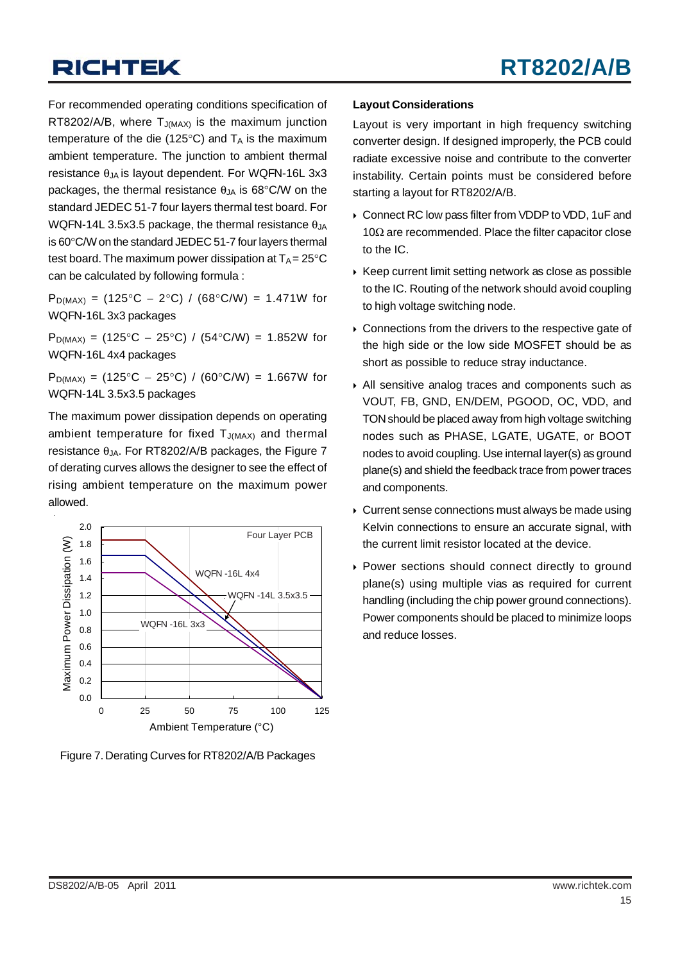For recommended operating conditions specification of RT8202/A/B, where  $T_{J(MAX)}$  is the maximum junction temperature of the die (125 $\degree$ C) and  $T_A$  is the maximum ambient temperature. The junction to ambient thermal resistance  $\theta_{JA}$  is layout dependent. For WQFN-16L 3x3 packages, the thermal resistance  $\theta_{JA}$  is 68°C/W on the standard JEDEC 51-7 four layers thermal test board. For WQFN-14L 3.5x3.5 package, the thermal resistance  $\theta_{JA}$ is 60°C/W on the standard JEDEC 51-7 four layers thermal test board. The maximum power dissipation at  $T_A = 25^{\circ}C$ can be calculated by following formula :

 $P_{D(MAX)} = (125^{\circ}C - 2^{\circ}C) / (68^{\circ}C/W) = 1.471W$  for WQFN-16L 3x3 packages

P<sub>D(MAX)</sub> = (125°C − 25°C) / (54°C/W) = 1.852W for WQFN-16L 4x4 packages

 $P_{D(MAX)} = (125\degree C - 25\degree C) / (60\degree C/W) = 1.667W$  for WQFN-14L 3.5x3.5 packages

The maximum power dissipation depends on operating ambient temperature for fixed  $T_{J(MAX)}$  and thermal resistance  $\theta_{JA}$ . For RT8202/A/B packages, the Figure 7 of derating curves allows the designer to see the effect of rising ambient temperature on the maximum power allowed.



Figure 7. Derating Curves for RT8202/A/B Packages

#### **Layout Considerations**

Layout is very important in high frequency switching converter design. If designed improperly, the PCB could radiate excessive noise and contribute to the converter instability. Certain points must be considered before starting a layout for RT8202/A/B.

- ▶ Connect RC low pass filter from VDDP to VDD, 1uF and 10Ω are recommended. Place the filter capacitor close to the IC.
- $\triangleright$  Keep current limit setting network as close as possible to the IC. Routing of the network should avoid coupling to high voltage switching node.
- $\triangleright$  Connections from the drivers to the respective gate of the high side or the low side MOSFET should be as short as possible to reduce stray inductance.
- ` All sensitive analog traces and components such as VOUT, FB, GND, EN/DEM, PGOOD, OC, VDD, and TON should be placed away from high voltage switching nodes such as PHASE, LGATE, UGATE, or BOOT nodes to avoid coupling. Use internal layer(s) as ground plane(s) and shield the feedback trace from power traces and components.
- $\triangleright$  Current sense connections must always be made using Kelvin connections to ensure an accurate signal, with the current limit resistor located at the device.
- ` Power sections should connect directly to ground plane(s) using multiple vias as required for current handling (including the chip power ground connections). Power components should be placed to minimize loops and reduce losses.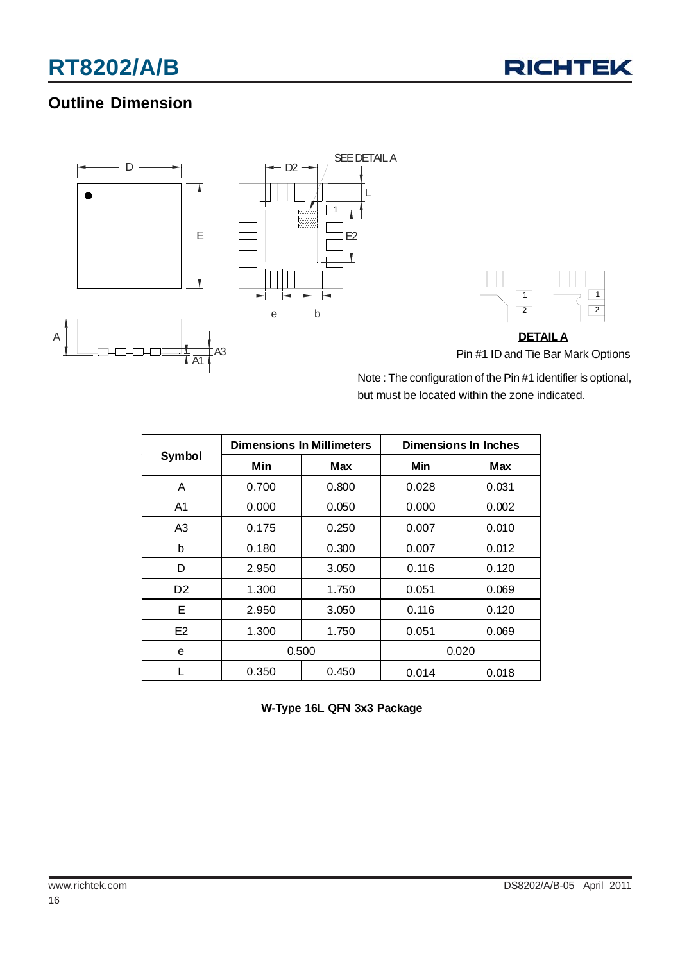

### **Outline Dimension**





**DETAILA** Pin #1 ID and Tie Bar Mark Options

Note : The configuration of the Pin #1 identifier is optional, but must be located within the zone indicated.

|                |       | <b>Dimensions In Millimeters</b> | Dimensions In Inches |       |  |
|----------------|-------|----------------------------------|----------------------|-------|--|
| Symbol         | Min   | <b>Max</b>                       | Min                  | Max   |  |
| A              | 0.700 | 0.800                            | 0.028                | 0.031 |  |
| A1             | 0.000 | 0.050                            | 0.000                | 0.002 |  |
| A3             | 0.175 | 0.250                            | 0.007                | 0.010 |  |
| b              | 0.180 | 0.300                            | 0.007                | 0.012 |  |
| D              | 2.950 | 3.050                            | 0.116                | 0.120 |  |
| D <sub>2</sub> | 1.300 | 1.750                            | 0.051                | 0.069 |  |
| Е              | 2.950 | 3.050                            | 0.116                | 0.120 |  |
| E <sub>2</sub> | 1.300 | 1.750                            | 0.051                | 0.069 |  |
| e              | 0.500 |                                  |                      | 0.020 |  |
|                | 0.350 | 0.450                            | 0.014                | 0.018 |  |

**W-Type 16L QFN 3x3 Package**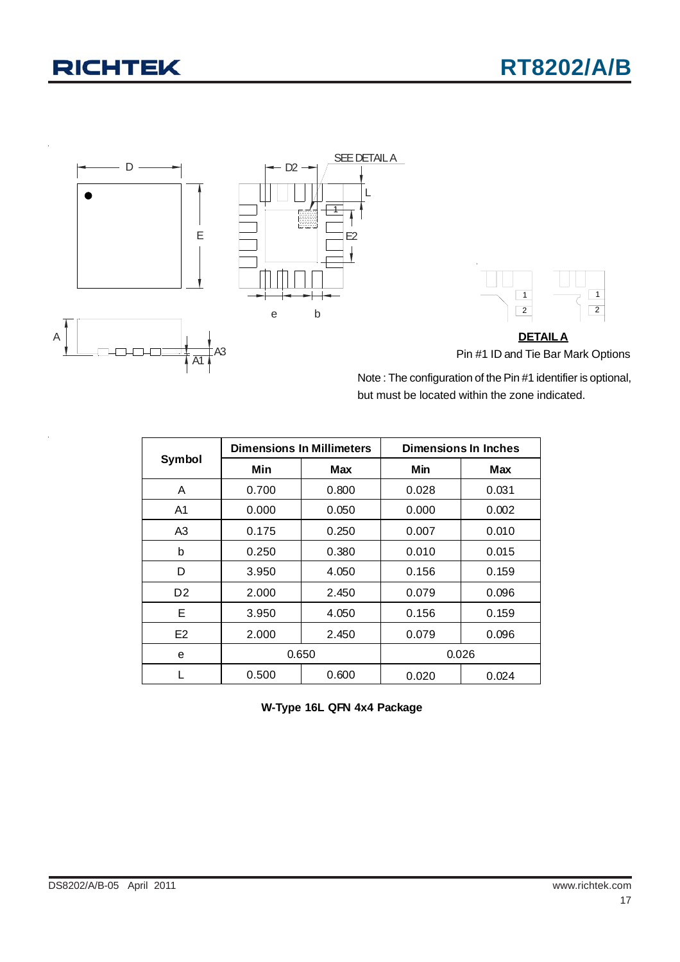



**DETAILA** Pin #1 ID and Tie Bar Mark Options

Note : The configuration of the Pin #1 identifier is optional, but must be located within the zone indicated.

|                |       | <b>Dimensions In Millimeters</b> | Dimensions In Inches |       |  |
|----------------|-------|----------------------------------|----------------------|-------|--|
| Symbol         | Min   | Max                              | Min                  | Max   |  |
| A              | 0.700 | 0.800                            | 0.028                | 0.031 |  |
| A1             | 0.000 | 0.050                            | 0.000                | 0.002 |  |
| A3             | 0.175 | 0.250                            | 0.007                | 0.010 |  |
| b              | 0.250 | 0.380                            | 0.010                | 0.015 |  |
| D              | 3.950 | 4.050                            | 0.156                | 0.159 |  |
| D <sub>2</sub> | 2.000 | 2.450                            | 0.079                | 0.096 |  |
| Е              | 3.950 | 4.050                            | 0.156                | 0.159 |  |
| E <sub>2</sub> | 2.000 | 2.450                            | 0.079                | 0.096 |  |
| е              | 0.650 |                                  |                      | 0.026 |  |
|                | 0.500 | 0.600                            | 0.020                | 0.024 |  |

**W-Type 16L QFN 4x4 Package**